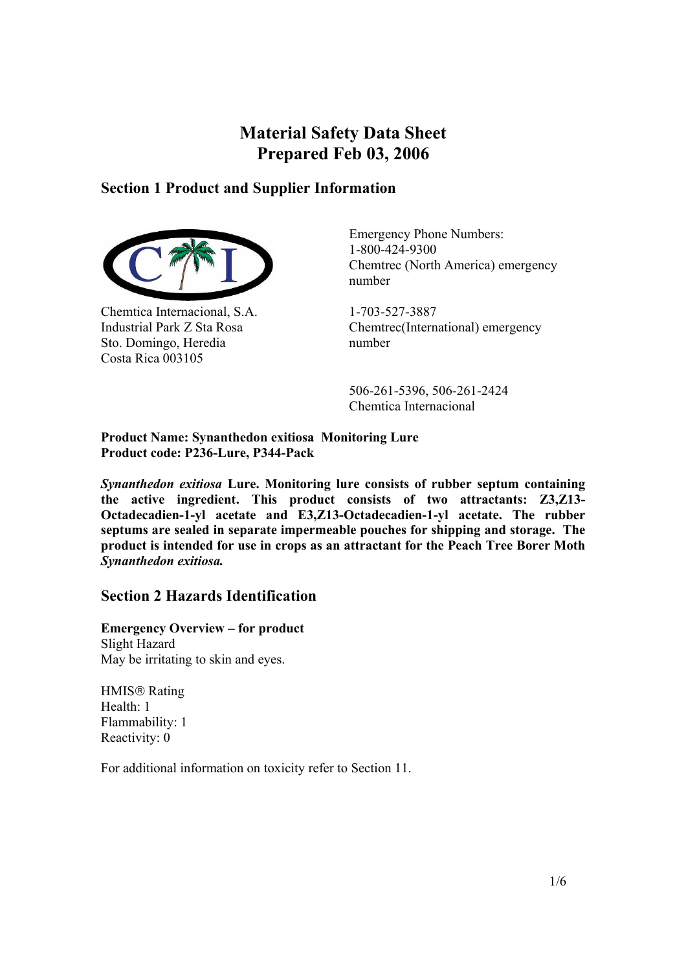# **Material Safety Data Sheet Prepared Feb 03, 2006**

# **Section 1 Product and Supplier Information**



Chemtica Internacional, S.A. Industrial Park Z Sta Rosa Sto. Domingo, Heredia Costa Rica 003105

Emergency Phone Numbers: 1-800-424-9300 Chemtrec (North America) emergency number

1-703-527-3887 Chemtrec(International) emergency number

 506-261-5396, 506-261-2424 Chemtica Internacional

#### **Product Name: Synanthedon exitiosa Monitoring Lure Product code: P236-Lure, P344-Pack**

*Synanthedon exitiosa* **Lure. Monitoring lure consists of rubber septum containing the active ingredient. This product consists of two attractants: Z3,Z13- Octadecadien-1-yl acetate and E3,Z13-Octadecadien-1-yl acetate. The rubber septums are sealed in separate impermeable pouches for shipping and storage. The product is intended for use in crops as an attractant for the Peach Tree Borer Moth**  *Synanthedon exitiosa.*

# **Section 2 Hazards Identification**

**Emergency Overview – for product** Slight Hazard May be irritating to skin and eyes.

HMIS<sup>®</sup> Rating Health: 1 Flammability: 1 Reactivity: 0

For additional information on toxicity refer to Section 11.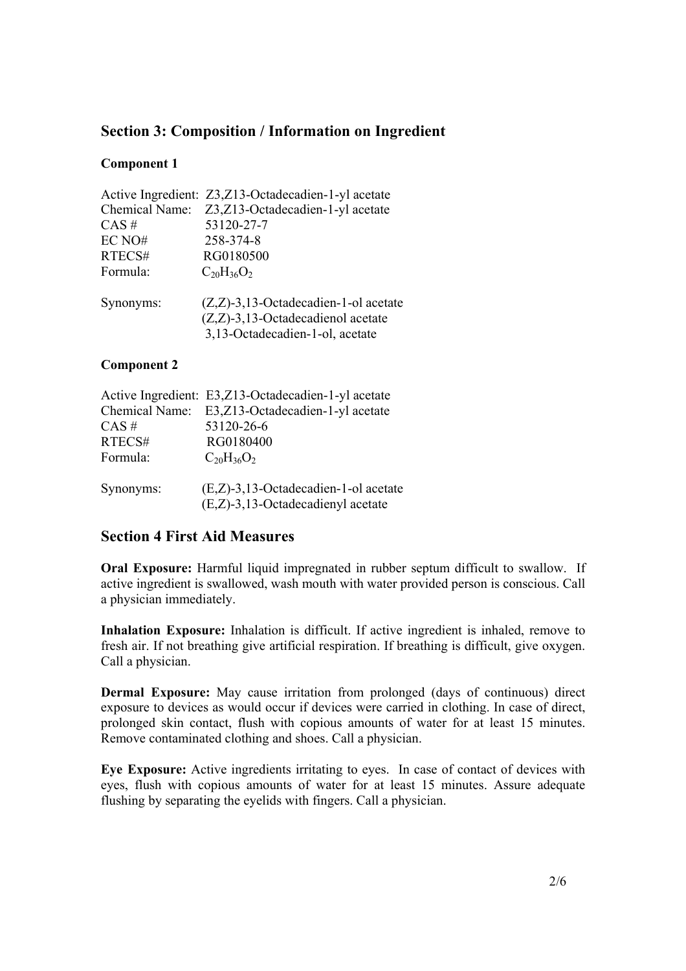# **Section 3: Composition / Information on Ingredient**

#### **Component 1**

|           | Active Ingredient: Z3, Z13-Octadecadien-1-yl acetate                            |
|-----------|---------------------------------------------------------------------------------|
|           | Chemical Name: Z3,Z13-Octadecadien-1-yl acetate                                 |
| $CAS \#$  | 53120-27-7                                                                      |
| EC NO#    | 258-374-8                                                                       |
| RTECS#    | RG0180500                                                                       |
| Formula:  | $C_{20}H_{36}O_2$                                                               |
| Synonyms: | $(Z,Z)$ -3,13-Octadecadien-1-ol acetate<br>$(Z,Z)$ -3,13-Octadecadienol acetate |
|           | 3,13-Octadecadien-1-ol, acetate                                                 |

#### **Component 2**

|           | Active Ingredient: E3,Z13-Octadecadien-1-yl acetate |
|-----------|-----------------------------------------------------|
|           | Chemical Name: E3,Z13-Octadecadien-1-yl acetate     |
| $CAS \#$  | 53120-26-6                                          |
| RTECS#    | RG0180400                                           |
| Formula:  | $C_{20}H_{36}O_2$                                   |
|           |                                                     |
| Synonyms: | $(E,Z)$ -3,13-Octadecadien-1-ol acetate             |
|           | $(E,Z)$ -3,13-Octadecadienyl acetate                |

# **Section 4 First Aid Measures**

**Oral Exposure:** Harmful liquid impregnated in rubber septum difficult to swallow. If active ingredient is swallowed, wash mouth with water provided person is conscious. Call a physician immediately.

**Inhalation Exposure:** Inhalation is difficult. If active ingredient is inhaled, remove to fresh air. If not breathing give artificial respiration. If breathing is difficult, give oxygen. Call a physician.

**Dermal Exposure:** May cause irritation from prolonged (days of continuous) direct exposure to devices as would occur if devices were carried in clothing. In case of direct, prolonged skin contact, flush with copious amounts of water for at least 15 minutes. Remove contaminated clothing and shoes. Call a physician.

**Eye Exposure:** Active ingredients irritating to eyes. In case of contact of devices with eyes, flush with copious amounts of water for at least 15 minutes. Assure adequate flushing by separating the eyelids with fingers. Call a physician.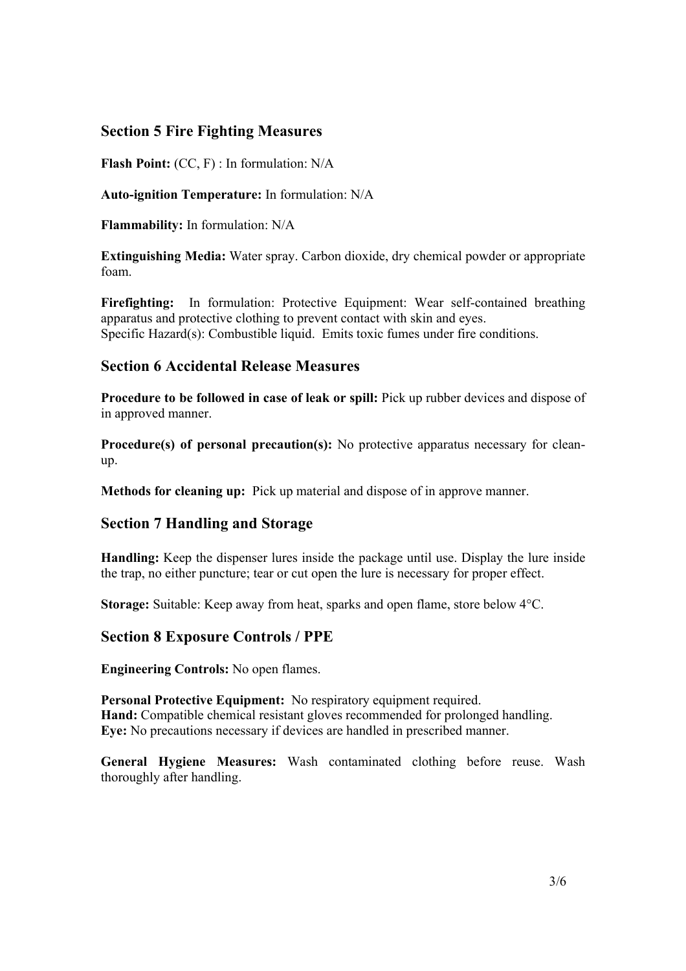## **Section 5 Fire Fighting Measures**

**Flash Point:** (CC, F) : In formulation: N/A

**Auto-ignition Temperature:** In formulation: N/A

**Flammability:** In formulation: N/A

**Extinguishing Media:** Water spray. Carbon dioxide, dry chemical powder or appropriate foam.

Firefighting: In formulation: Protective Equipment: Wear self-contained breathing apparatus and protective clothing to prevent contact with skin and eyes. Specific Hazard(s): Combustible liquid. Emits toxic fumes under fire conditions.

# **Section 6 Accidental Release Measures**

**Procedure to be followed in case of leak or spill:** Pick up rubber devices and dispose of in approved manner.

**Procedure(s) of personal precaution(s):** No protective apparatus necessary for cleanup.

**Methods for cleaning up:** Pick up material and dispose of in approve manner.

#### **Section 7 Handling and Storage**

**Handling:** Keep the dispenser lures inside the package until use. Display the lure inside the trap, no either puncture; tear or cut open the lure is necessary for proper effect.

**Storage:** Suitable: Keep away from heat, sparks and open flame, store below 4°C.

# **Section 8 Exposure Controls / PPE**

**Engineering Controls:** No open flames.

**Personal Protective Equipment:** No respiratory equipment required. **Hand:** Compatible chemical resistant gloves recommended for prolonged handling. **Eye:** No precautions necessary if devices are handled in prescribed manner.

**General Hygiene Measures:** Wash contaminated clothing before reuse. Wash thoroughly after handling.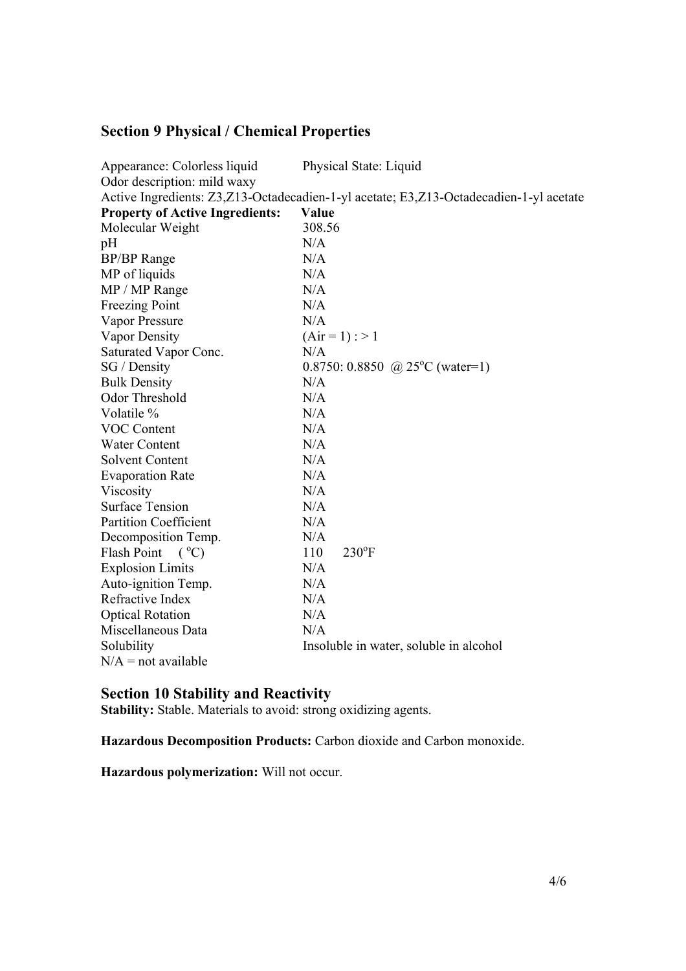# **Section 9 Physical / Chemical Properties**

| Appearance: Colorless liquid                                                           | Physical State: Liquid                 |  |
|----------------------------------------------------------------------------------------|----------------------------------------|--|
| Odor description: mild waxy                                                            |                                        |  |
| Active Ingredients: Z3,Z13-Octadecadien-1-yl acetate; E3,Z13-Octadecadien-1-yl acetate |                                        |  |
| <b>Property of Active Ingredients:</b>                                                 | Value                                  |  |
| Molecular Weight                                                                       | 308.56                                 |  |
| pH                                                                                     | N/A                                    |  |
| <b>BP/BP</b> Range                                                                     | N/A                                    |  |
| MP of liquids                                                                          | N/A                                    |  |
| MP / MP Range                                                                          | N/A                                    |  |
| <b>Freezing Point</b>                                                                  | N/A                                    |  |
| Vapor Pressure                                                                         | N/A                                    |  |
| Vapor Density                                                                          | $(Air = 1)$ : > 1                      |  |
| Saturated Vapor Conc.                                                                  | N/A                                    |  |
| SG / Density                                                                           | 0.8750: 0.8850 @ 25°C (water=1)        |  |
| <b>Bulk Density</b>                                                                    | N/A                                    |  |
| Odor Threshold                                                                         | N/A                                    |  |
| Volatile %                                                                             | N/A                                    |  |
| <b>VOC Content</b>                                                                     | N/A                                    |  |
| <b>Water Content</b>                                                                   | N/A                                    |  |
| <b>Solvent Content</b>                                                                 | N/A                                    |  |
| <b>Evaporation Rate</b>                                                                | N/A                                    |  |
| Viscosity                                                                              | N/A                                    |  |
| <b>Surface Tension</b>                                                                 | N/A                                    |  |
| <b>Partition Coefficient</b>                                                           | N/A                                    |  |
| Decomposition Temp.                                                                    | N/A                                    |  |
| Flash Point<br>$(C^{\circ}C)$                                                          | $230^{\circ}F$<br>110                  |  |
| <b>Explosion Limits</b>                                                                | N/A                                    |  |
| Auto-ignition Temp.                                                                    | N/A                                    |  |
| Refractive Index                                                                       | N/A                                    |  |
| <b>Optical Rotation</b>                                                                | N/A                                    |  |
| Miscellaneous Data                                                                     | N/A                                    |  |
| Solubility                                                                             | Insoluble in water, soluble in alcohol |  |
| $N/A$ = not available                                                                  |                                        |  |

#### **Section 10 Stability and Reactivity**

**Stability:** Stable. Materials to avoid: strong oxidizing agents.

**Hazardous Decomposition Products:** Carbon dioxide and Carbon monoxide.

**Hazardous polymerization:** Will not occur.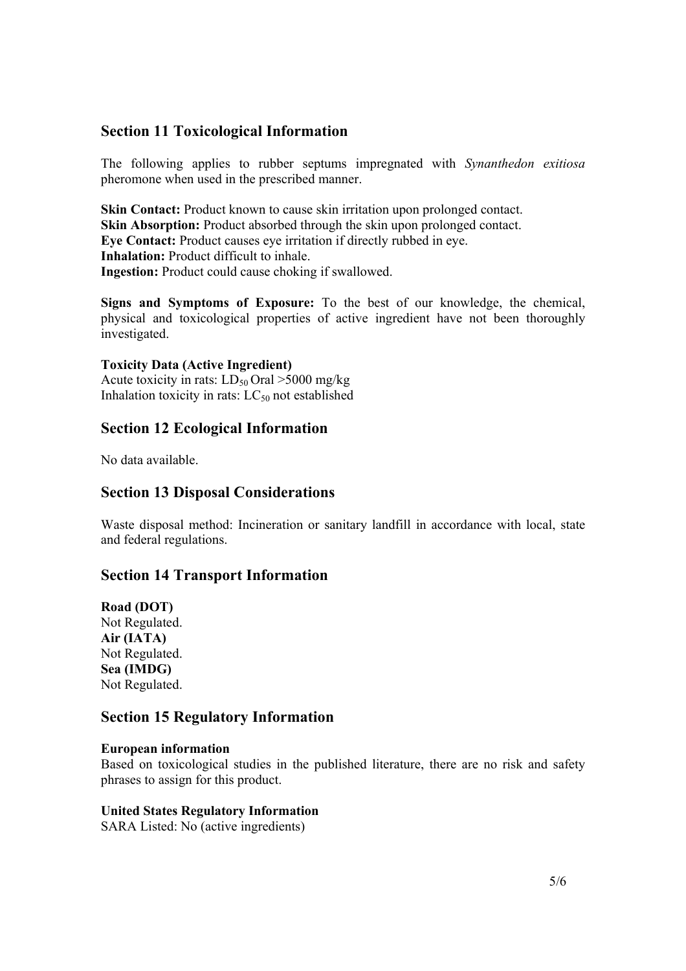### **Section 11 Toxicological Information**

The following applies to rubber septums impregnated with *Synanthedon exitiosa* pheromone when used in the prescribed manner.

**Skin Contact:** Product known to cause skin irritation upon prolonged contact. **Skin Absorption:** Product absorbed through the skin upon prolonged contact. **Eye Contact:** Product causes eye irritation if directly rubbed in eye. **Inhalation:** Product difficult to inhale. **Ingestion:** Product could cause choking if swallowed.

**Signs and Symptoms of Exposure:** To the best of our knowledge, the chemical, physical and toxicological properties of active ingredient have not been thoroughly investigated.

#### **Toxicity Data (Active Ingredient)**

Acute toxicity in rats:  $LD_{50}$  Oral >5000 mg/kg Inhalation toxicity in rats:  $LC_{50}$  not established

### **Section 12 Ecological Information**

No data available.

#### **Section 13 Disposal Considerations**

Waste disposal method: Incineration or sanitary landfill in accordance with local, state and federal regulations.

#### **Section 14 Transport Information**

**Road (DOT)**  Not Regulated. **Air (IATA)**  Not Regulated. **Sea (IMDG)**  Not Regulated.

#### **Section 15 Regulatory Information**

#### **European information**

Based on toxicological studies in the published literature, there are no risk and safety phrases to assign for this product.

#### **United States Regulatory Information**

SARA Listed: No (active ingredients)